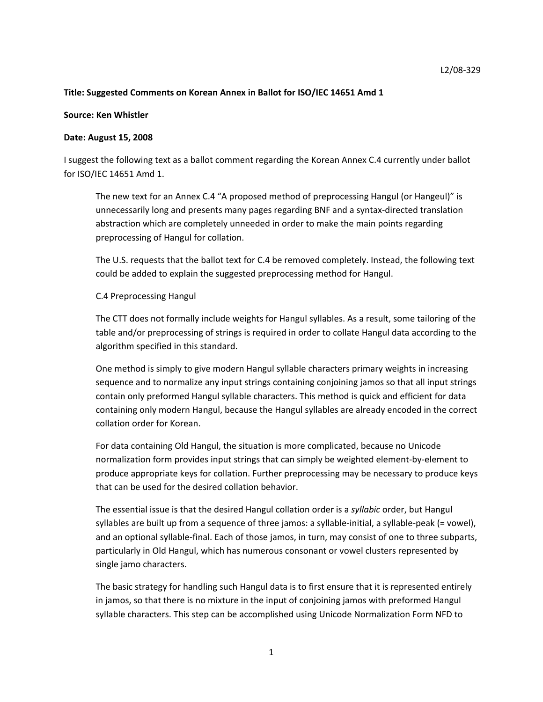# **Title: Suggested Comments on Korean Annex in Ballot for ISO/IEC 14651 Amd 1**

### **Source: Ken Whistler**

### **Date: August 15, 2008**

I suggest the following text as a ballot comment regarding the Korean Annex C.4 currently under ballot for ISO/IEC 14651 Amd 1.

The new text for an Annex C.4 "A proposed method of preprocessing Hangul (or Hangeul)" is unnecessarily long and presents many pages regarding BNF and a syntax‐directed translation abstraction which are completely unneeded in order to make the main points regarding preprocessing of Hangul for collation.

The U.S. requests that the ballot text for C.4 be removed completely. Instead, the following text could be added to explain the suggested preprocessing method for Hangul.

### C.4 Preprocessing Hangul

The CTT does not formally include weights for Hangul syllables. As a result, some tailoring of the table and/or preprocessing of strings is required in order to collate Hangul data according to the algorithm specified in this standard.

One method is simply to give modern Hangul syllable characters primary weights in increasing sequence and to normalize any input strings containing conjoining jamos so that all input strings contain only preformed Hangul syllable characters. This method is quick and efficient for data containing only modern Hangul, because the Hangul syllables are already encoded in the correct collation order for Korean.

For data containing Old Hangul, the situation is more complicated, because no Unicode normalization form provides input strings that can simply be weighted element‐by‐element to produce appropriate keys for collation. Further preprocessing may be necessary to produce keys that can be used for the desired collation behavior.

The essential issue is that the desired Hangul collation order is a *syllabic* order, but Hangul syllables are built up from a sequence of three jamos: a syllable-initial, a syllable-peak (= vowel), and an optional syllable‐final. Each of those jamos, in turn, may consist of one to three subparts, particularly in Old Hangul, which has numerous consonant or vowel clusters represented by single jamo characters.

The basic strategy for handling such Hangul data is to first ensure that it is represented entirely in jamos, so that there is no mixture in the input of conjoining jamos with preformed Hangul syllable characters. This step can be accomplished using Unicode Normalization Form NFD to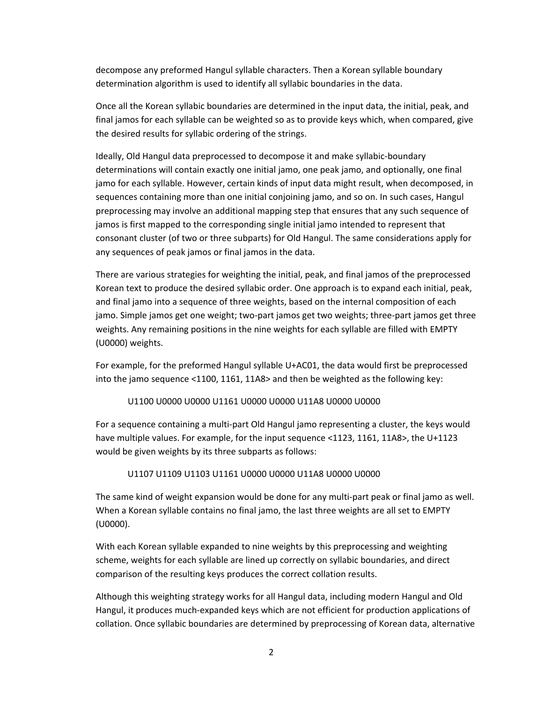decompose any preformed Hangul syllable characters. Then a Korean syllable boundary determination algorithm is used to identify all syllabic boundaries in the data.

Once all the Korean syllabic boundaries are determined in the input data, the initial, peak, and final jamos for each syllable can be weighted so as to provide keys which, when compared, give the desired results for syllabic ordering of the strings.

Ideally, Old Hangul data preprocessed to decompose it and make syllabic‐boundary determinations will contain exactly one initial jamo, one peak jamo, and optionally, one final jamo for each syllable. However, certain kinds of input data might result, when decomposed, in sequences containing more than one initial conjoining jamo, and so on. In such cases, Hangul preprocessing may involve an additional mapping step that ensures that any such sequence of jamos is first mapped to the corresponding single initial jamo intended to represent that consonant cluster (of two or three subparts) for Old Hangul. The same considerations apply for any sequences of peak jamos or final jamos in the data.

There are various strategies for weighting the initial, peak, and final jamos of the preprocessed Korean text to produce the desired syllabic order. One approach is to expand each initial, peak, and final jamo into a sequence of three weights, based on the internal composition of each jamo. Simple jamos get one weight; two-part jamos get two weights; three-part jamos get three weights. Any remaining positions in the nine weights for each syllable are filled with EMPTY (U0000) weights.

For example, for the preformed Hangul syllable U+AC01, the data would first be preprocessed into the jamo sequence <1100, 1161, 11A8> and then be weighted as the following key:

## U1100 U0000 U0000 U1161 U0000 U0000 U11A8 U0000 U0000

For a sequence containing a multi‐part Old Hangul jamo representing a cluster, the keys would have multiple values. For example, for the input sequence <1123, 1161, 11A8>, the U+1123 would be given weights by its three subparts as follows:

#### U1107 U1109 U1103 U1161 U0000 U0000 U11A8 U0000 U0000

The same kind of weight expansion would be done for any multi‐part peak or final jamo as well. When a Korean syllable contains no final jamo, the last three weights are all set to EMPTY (U0000).

With each Korean syllable expanded to nine weights by this preprocessing and weighting scheme, weights for each syllable are lined up correctly on syllabic boundaries, and direct comparison of the resulting keys produces the correct collation results.

Although this weighting strategy works for all Hangul data, including modern Hangul and Old Hangul, it produces much-expanded keys which are not efficient for production applications of collation. Once syllabic boundaries are determined by preprocessing of Korean data, alternative